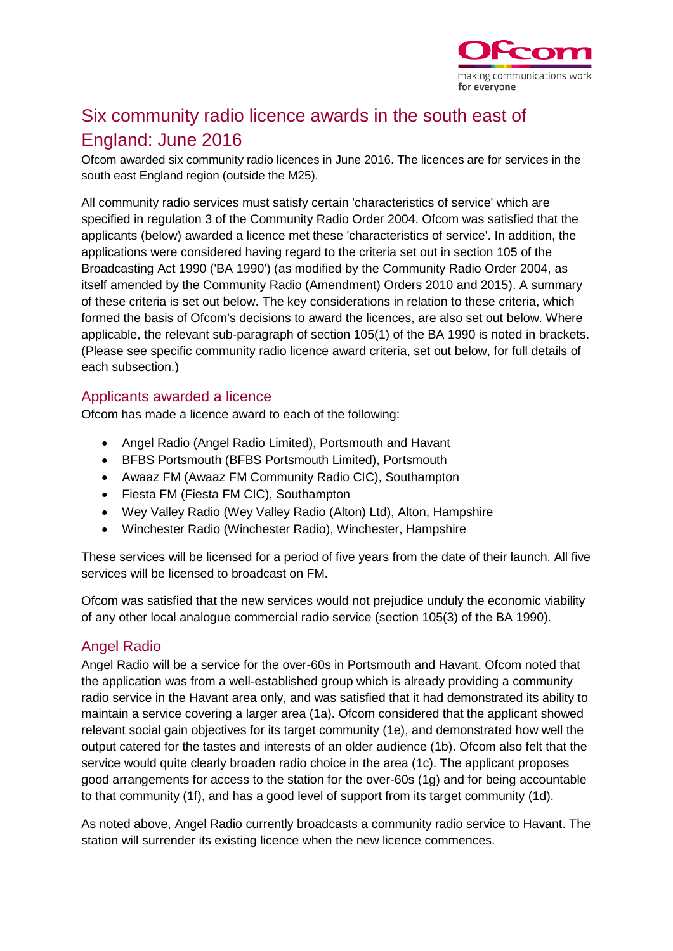

# Six community radio licence awards in the south east of England: June 2016

Ofcom awarded six community radio licences in June 2016. The licences are for services in the south east England region (outside the M25).

All community radio services must satisfy certain 'characteristics of service' which are specified in regulation 3 of the Community Radio Order 2004. Ofcom was satisfied that the applicants (below) awarded a licence met these 'characteristics of service'. In addition, the applications were considered having regard to the criteria set out in section 105 of the Broadcasting Act 1990 ('BA 1990') (as modified by the Community Radio Order 2004, as itself amended by the Community Radio (Amendment) Orders 2010 and 2015). A summary of these criteria is set out below. The key considerations in relation to these criteria, which formed the basis of Ofcom's decisions to award the licences, are also set out below. Where applicable, the relevant sub-paragraph of section 105(1) of the BA 1990 is noted in brackets. (Please see specific community radio licence award criteria, set out below, for full details of each subsection.)

# Applicants awarded a licence

Ofcom has made a licence award to each of the following:

- Angel Radio (Angel Radio Limited), Portsmouth and Havant
- BFBS Portsmouth (BFBS Portsmouth Limited), Portsmouth
- Awaaz FM (Awaaz FM Community Radio CIC), Southampton
- Fiesta FM (Fiesta FM CIC), Southampton
- Wey Valley Radio (Wey Valley Radio (Alton) Ltd), Alton, Hampshire
- Winchester Radio (Winchester Radio), Winchester, Hampshire

These services will be licensed for a period of five years from the date of their launch. All five services will be licensed to broadcast on FM.

Ofcom was satisfied that the new services would not prejudice unduly the economic viability of any other local analogue commercial radio service (section 105(3) of the BA 1990).

#### Angel Radio

Angel Radio will be a service for the over-60s in Portsmouth and Havant. Ofcom noted that the application was from a well-established group which is already providing a community radio service in the Havant area only, and was satisfied that it had demonstrated its ability to maintain a service covering a larger area (1a). Ofcom considered that the applicant showed relevant social gain objectives for its target community (1e), and demonstrated how well the output catered for the tastes and interests of an older audience (1b). Ofcom also felt that the service would quite clearly broaden radio choice in the area (1c). The applicant proposes good arrangements for access to the station for the over-60s (1g) and for being accountable to that community (1f), and has a good level of support from its target community (1d).

As noted above, Angel Radio currently broadcasts a community radio service to Havant. The station will surrender its existing licence when the new licence commences.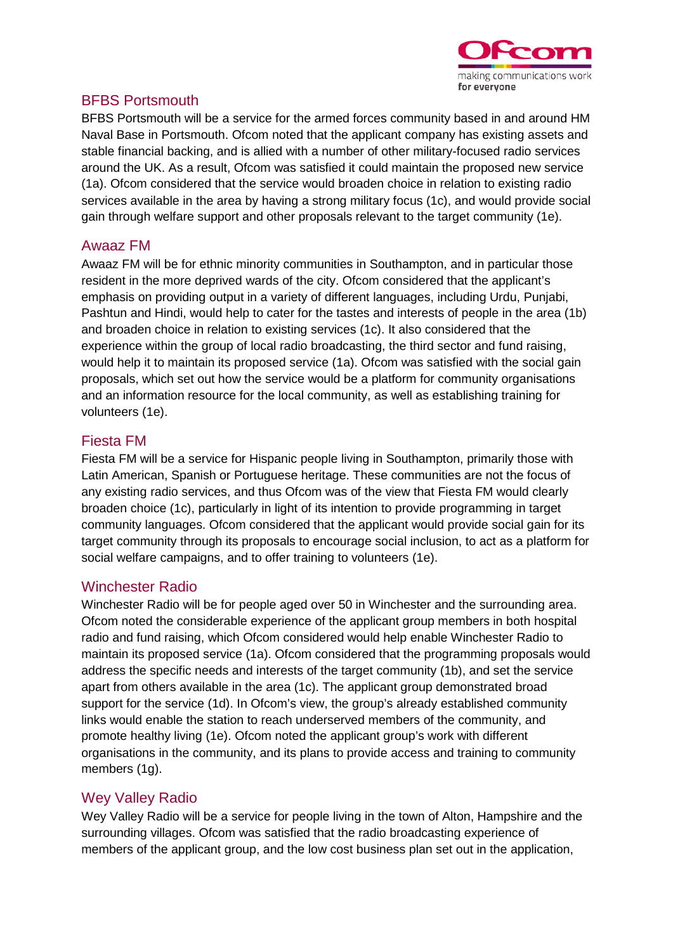

# BFBS Portsmouth

BFBS Portsmouth will be a service for the armed forces community based in and around HM Naval Base in Portsmouth. Ofcom noted that the applicant company has existing assets and stable financial backing, and is allied with a number of other military-focused radio services around the UK. As a result, Ofcom was satisfied it could maintain the proposed new service (1a). Ofcom considered that the service would broaden choice in relation to existing radio services available in the area by having a strong military focus (1c), and would provide social gain through welfare support and other proposals relevant to the target community (1e).

# Awaaz FM

Awaaz FM will be for ethnic minority communities in Southampton, and in particular those resident in the more deprived wards of the city. Ofcom considered that the applicant's emphasis on providing output in a variety of different languages, including Urdu, Punjabi, Pashtun and Hindi, would help to cater for the tastes and interests of people in the area (1b) and broaden choice in relation to existing services (1c). It also considered that the experience within the group of local radio broadcasting, the third sector and fund raising, would help it to maintain its proposed service (1a). Ofcom was satisfied with the social gain proposals, which set out how the service would be a platform for community organisations and an information resource for the local community, as well as establishing training for volunteers (1e).

# Fiesta FM

Fiesta FM will be a service for Hispanic people living in Southampton, primarily those with Latin American, Spanish or Portuguese heritage. These communities are not the focus of any existing radio services, and thus Ofcom was of the view that Fiesta FM would clearly broaden choice (1c), particularly in light of its intention to provide programming in target community languages. Ofcom considered that the applicant would provide social gain for its target community through its proposals to encourage social inclusion, to act as a platform for social welfare campaigns, and to offer training to volunteers (1e).

#### Winchester Radio

Winchester Radio will be for people aged over 50 in Winchester and the surrounding area. Ofcom noted the considerable experience of the applicant group members in both hospital radio and fund raising, which Ofcom considered would help enable Winchester Radio to maintain its proposed service (1a). Ofcom considered that the programming proposals would address the specific needs and interests of the target community (1b), and set the service apart from others available in the area (1c). The applicant group demonstrated broad support for the service (1d). In Ofcom's view, the group's already established community links would enable the station to reach underserved members of the community, and promote healthy living (1e). Ofcom noted the applicant group's work with different organisations in the community, and its plans to provide access and training to community members (1g).

# Wey Valley Radio

Wey Valley Radio will be a service for people living in the town of Alton, Hampshire and the surrounding villages. Ofcom was satisfied that the radio broadcasting experience of members of the applicant group, and the low cost business plan set out in the application,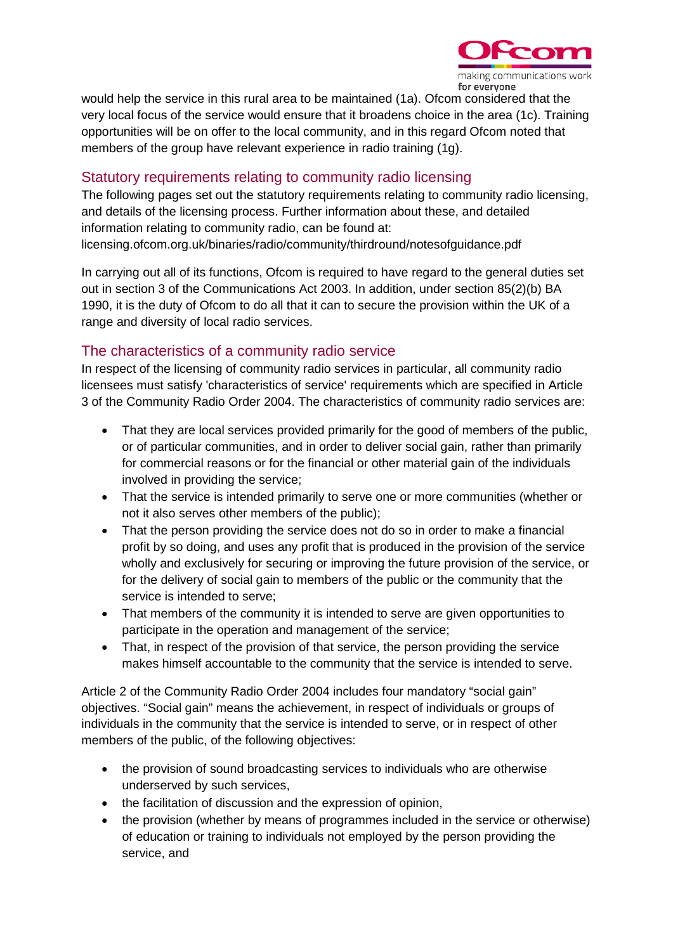

would help the service in this rural area to be maintained (1a). Ofcom considered that the very local focus of the service would ensure that it broadens choice in the area (1c). Training opportunities will be on offer to the local community, and in this regard Ofcom noted that members of the group have relevant experience in radio training (1g).

# Statutory requirements relating to community radio licensing

The following pages set out the statutory requirements relating to community radio licensing, and details of the licensing process. Further information about these, and detailed information relating to community radio, can be found at: licensing.ofcom.org.uk/binaries/radio/community/thirdround/notesofguidance.pdf

In carrying out all of its functions, Ofcom is required to have regard to the general duties set out in section 3 of the Communications Act 2003. In addition, under section 85(2)(b) BA 1990, it is the duty of Ofcom to do all that it can to secure the provision within the UK of a range and diversity of local radio services.

# The characteristics of a community radio service

In respect of the licensing of community radio services in particular, all community radio licensees must satisfy 'characteristics of service' requirements which are specified in Article 3 of the Community Radio Order 2004. The characteristics of community radio services are:

- That they are local services provided primarily for the good of members of the public, or of particular communities, and in order to deliver social gain, rather than primarily for commercial reasons or for the financial or other material gain of the individuals involved in providing the service;
- That the service is intended primarily to serve one or more communities (whether or not it also serves other members of the public);
- That the person providing the service does not do so in order to make a financial profit by so doing, and uses any profit that is produced in the provision of the service wholly and exclusively for securing or improving the future provision of the service, or for the delivery of social gain to members of the public or the community that the service is intended to serve;
- That members of the community it is intended to serve are given opportunities to participate in the operation and management of the service;
- That, in respect of the provision of that service, the person providing the service makes himself accountable to the community that the service is intended to serve.

Article 2 of the Community Radio Order 2004 includes four mandatory "social gain" objectives. "Social gain" means the achievement, in respect of individuals or groups of individuals in the community that the service is intended to serve, or in respect of other members of the public, of the following objectives:

- the provision of sound broadcasting services to individuals who are otherwise underserved by such services,
- the facilitation of discussion and the expression of opinion,
- the provision (whether by means of programmes included in the service or otherwise) of education or training to individuals not employed by the person providing the service, and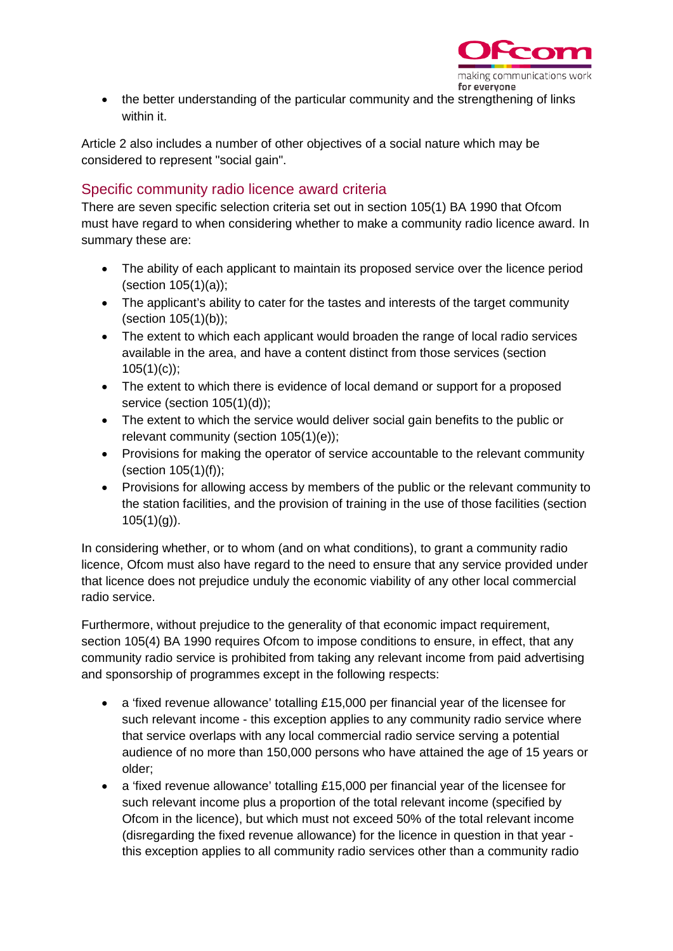

• the better understanding of the particular community and the strengthening of links within it.

Article 2 also includes a number of other objectives of a social nature which may be considered to represent "social gain".

# Specific community radio licence award criteria

There are seven specific selection criteria set out in section 105(1) BA 1990 that Ofcom must have regard to when considering whether to make a community radio licence award. In summary these are:

- The ability of each applicant to maintain its proposed service over the licence period (section 105(1)(a));
- The applicant's ability to cater for the tastes and interests of the target community (section 105(1)(b));
- The extent to which each applicant would broaden the range of local radio services available in the area, and have a content distinct from those services (section  $105(1)(c)$ ;
- The extent to which there is evidence of local demand or support for a proposed service (section 105(1)(d));
- The extent to which the service would deliver social gain benefits to the public or relevant community (section 105(1)(e));
- Provisions for making the operator of service accountable to the relevant community (section 105(1)(f));
- Provisions for allowing access by members of the public or the relevant community to the station facilities, and the provision of training in the use of those facilities (section  $105(1)(g)$ ).

In considering whether, or to whom (and on what conditions), to grant a community radio licence, Ofcom must also have regard to the need to ensure that any service provided under that licence does not prejudice unduly the economic viability of any other local commercial radio service.

Furthermore, without prejudice to the generality of that economic impact requirement, section 105(4) BA 1990 requires Ofcom to impose conditions to ensure, in effect, that any community radio service is prohibited from taking any relevant income from paid advertising and sponsorship of programmes except in the following respects:

- a 'fixed revenue allowance' totalling £15,000 per financial year of the licensee for such relevant income - this exception applies to any community radio service where that service overlaps with any local commercial radio service serving a potential audience of no more than 150,000 persons who have attained the age of 15 years or older;
- a 'fixed revenue allowance' totalling £15,000 per financial year of the licensee for such relevant income plus a proportion of the total relevant income (specified by Ofcom in the licence), but which must not exceed 50% of the total relevant income (disregarding the fixed revenue allowance) for the licence in question in that year this exception applies to all community radio services other than a community radio